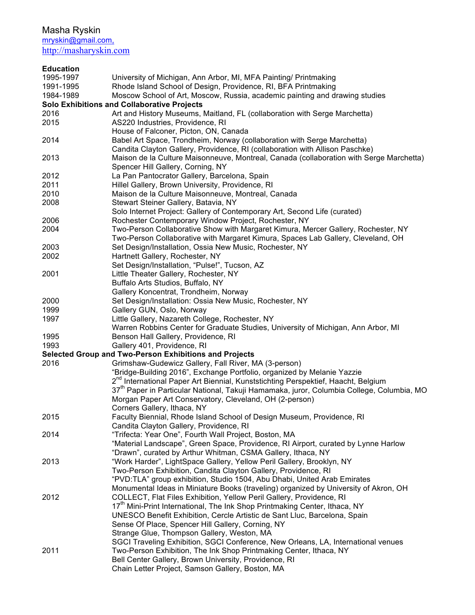Masha Ryskin

mryskin@gmail.com, http://masharyskin.com

| <b>Education</b> |                                                                                                       |
|------------------|-------------------------------------------------------------------------------------------------------|
| 1995-1997        | University of Michigan, Ann Arbor, MI, MFA Painting/ Printmaking                                      |
| 1991-1995        | Rhode Island School of Design, Providence, RI, BFA Printmaking                                        |
| 1984-1989        | Moscow School of Art, Moscow, Russia, academic painting and drawing studies                           |
|                  | <b>Solo Exhibitions and Collaborative Projects</b>                                                    |
| 2016             | Art and History Museums, Maitland, FL (collaboration with Serge Marchetta)                            |
| 2015             | AS220 Industries, Providence, RI                                                                      |
|                  | House of Falconer, Picton, ON, Canada                                                                 |
| 2014             | Babel Art Space, Trondheim, Norway (collaboration with Serge Marchetta)                               |
|                  | Candita Clayton Gallery, Providence, RI (collaboration with Allison Paschke)                          |
| 2013             | Maison de la Culture Maisonneuve, Montreal, Canada (collaboration with Serge Marchetta)               |
|                  | Spencer Hill Gallery, Corning, NY                                                                     |
| 2012             | La Pan Pantocrator Gallery, Barcelona, Spain                                                          |
| 2011             | Hillel Gallery, Brown University, Providence, RI                                                      |
| 2010             | Maison de la Culture Maisonneuve, Montreal, Canada                                                    |
| 2008             | Stewart Steiner Gallery, Batavia, NY                                                                  |
|                  | Solo Internet Project: Gallery of Contemporary Art, Second Life (curated)                             |
| 2006             | Rochester Contemporary Window Project, Rochester, NY                                                  |
| 2004             | Two-Person Collaborative Show with Margaret Kimura, Mercer Gallery, Rochester, NY                     |
|                  | Two-Person Collaborative with Margaret Kimura, Spaces Lab Gallery, Cleveland, OH                      |
| 2003             | Set Design/Installation, Ossia New Music, Rochester, NY                                               |
| 2002             | Hartnett Gallery, Rochester, NY                                                                       |
| 2001             | Set Design/Installation, "Pulse!", Tucson, AZ                                                         |
|                  | Little Theater Gallery, Rochester, NY                                                                 |
|                  | Buffalo Arts Studios, Buffalo, NY<br>Gallery Koncentrat, Trondheim, Norway                            |
| 2000             | Set Design/Installation: Ossia New Music, Rochester, NY                                               |
| 1999             | Gallery GUN, Oslo, Norway                                                                             |
| 1997             | Little Gallery, Nazareth College, Rochester, NY                                                       |
|                  | Warren Robbins Center for Graduate Studies, University of Michigan, Ann Arbor, MI                     |
| 1995             | Benson Hall Gallery, Providence, RI                                                                   |
| 1993             | Gallery 401, Providence, RI                                                                           |
|                  | Selected Group and Two-Person Exhibitions and Projects                                                |
| 2016             | Grimshaw-Gudewicz Gallery, Fall River, MA (3-person)                                                  |
|                  | "Bridge-Building 2016", Exchange Portfolio, organized by Melanie Yazzie                               |
|                  | 2 <sup>nd</sup> International Paper Art Biennial, Kunststichting Perspektief, Haacht, Belgium         |
|                  | 37 <sup>th</sup> Paper in Particular National, Takuji Hamamaka, juror, Columbia College, Columbia, MO |
|                  | Morgan Paper Art Conservatory, Cleveland, OH (2-person)                                               |
|                  | Corners Gallery, Ithaca, NY                                                                           |
| 2015             | Faculty Biennial, Rhode Island School of Design Museum, Providence, RI                                |
|                  | Candita Clayton Gallery, Providence, RI                                                               |
| 2014             | "Trifecta: Year One", Fourth Wall Project, Boston, MA                                                 |
|                  | "Material Landscape", Green Space, Providence, RI Airport, curated by Lynne Harlow                    |
|                  | "Drawn", curated by Arthur Whitman, CSMA Gallery, Ithaca, NY                                          |
| 2013             | "Work Harder", LightSpace Gallery, Yellow Peril Gallery, Brooklyn, NY                                 |
|                  | Two-Person Exhibition, Candita Clayton Gallery, Providence, RI                                        |
|                  | "PVD:TLA" group exhibition, Studio 1504, Abu Dhabi, United Arab Emirates                              |
|                  | Monumental Ideas in Miniature Books (traveling) organized by University of Akron, OH                  |
| 2012             | COLLECT, Flat Files Exhibition, Yellow Peril Gallery, Providence, RI                                  |
|                  | 17 <sup>th</sup> Mini-Print International, The Ink Shop Printmaking Center, Ithaca, NY                |
|                  | UNESCO Benefit Exhibition, Cercle Artistic de Sant Lluc, Barcelona, Spain                             |
|                  | Sense Of Place, Spencer Hill Gallery, Corning, NY                                                     |
|                  | Strange Glue, Thompson Gallery, Weston, MA                                                            |
|                  | SGCI Traveling Exhibition, SGCI Conference, New Orleans, LA, International venues                     |
| 2011             | Two-Person Exhibition, The Ink Shop Printmaking Center, Ithaca, NY                                    |
|                  | Bell Center Gallery, Brown University, Providence, RI                                                 |
|                  | Chain Letter Project, Samson Gallery, Boston, MA                                                      |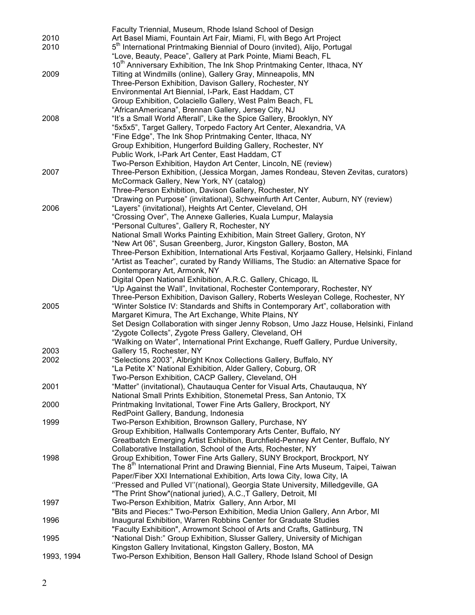|            | Faculty Triennial, Museum, Rhode Island School of Design                                       |
|------------|------------------------------------------------------------------------------------------------|
| 2010       | Art Basel Miami, Fountain Art Fair, Miami, Fl, with Bego Art Project                           |
| 2010       | 5 <sup>th</sup> International Printmaking Biennial of Douro (invited), Alijo, Portugal         |
|            | "Love, Beauty, Peace", Gallery at Park Pointe, Miami Beach, FL                                 |
|            | 10 <sup>th</sup> Anniversary Exhibition, The Ink Shop Printmaking Center, Ithaca, NY           |
| 2009       | Tilting at Windmills (online), Gallery Gray, Minneapolis, MN                                   |
|            |                                                                                                |
|            | Three-Person Exhibition, Davison Gallery, Rochester, NY                                        |
|            | Environmental Art Biennial, I-Park, East Haddam, CT                                            |
|            | Group Exhibition, Colaciello Gallery, West Palm Beach, FL                                      |
|            | "AfricanAmericana", Brennan Gallery, Jersey City, NJ                                           |
| 2008       | "It's a Small World Afterall", Like the Spice Gallery, Brooklyn, NY                            |
|            | "5x5x5", Target Gallery, Torpedo Factory Art Center, Alexandria, VA                            |
|            | "Fine Edge", The Ink Shop Printmaking Center, Ithaca, NY                                       |
|            | Group Exhibition, Hungerford Building Gallery, Rochester, NY                                   |
|            | Public Work, I-Park Art Center, East Haddam, CT                                                |
|            | Two-Person Exhibition, Haydon Art Center, Lincoln, NE (review)                                 |
| 2007       | Three-Person Exhibition, (Jessica Morgan, James Rondeau, Steven Zevitas, curators)             |
|            | McCormack Gallery, New York, NY (catalog)                                                      |
|            | Three-Person Exhibition, Davison Gallery, Rochester, NY                                        |
|            | "Drawing on Purpose" (invitational), Schweinfurth Art Center, Auburn, NY (review)              |
| 2006       | "Layers" (invitational), Heights Art Center, Cleveland, OH                                     |
|            | "Crossing Over", The Annexe Galleries, Kuala Lumpur, Malaysia                                  |
|            | "Personal Cultures", Gallery R, Rochester, NY                                                  |
|            | National Small Works Painting Exhibition, Main Street Gallery, Groton, NY                      |
|            | "New Art 06", Susan Greenberg, Juror, Kingston Gallery, Boston, MA                             |
|            |                                                                                                |
|            | Three-Person Exhibition, International Arts Festival, Korjaamo Gallery, Helsinki, Finland      |
|            | "Artist as Teacher", curated by Randy Williams, The Studio: an Alternative Space for           |
|            | Contemporary Art, Armonk, NY                                                                   |
|            | Digital Open National Exhibition, A.R.C. Gallery, Chicago, IL                                  |
|            | "Up Against the Wall", Invitational, Rochester Contemporary, Rochester, NY                     |
|            | Three-Person Exhibition, Davison Gallery, Roberts Wesleyan College, Rochester, NY              |
| 2005       | "Winter Solstice IV: Standards and Shifts in Contemporary Art", collaboration with             |
|            | Margaret Kimura, The Art Exchange, White Plains, NY                                            |
|            | Set Design Collaboration with singer Jenny Robson, Umo Jazz House, Helsinki, Finland           |
|            | "Zygote Collects", Zygote Press Gallery, Cleveland, OH                                         |
|            | "Walking on Water", International Print Exchange, Rueff Gallery, Purdue University,            |
| 2003       | Gallery 15, Rochester, NY                                                                      |
| 2002       | "Selections 2003", Albright Knox Collections Gallery, Buffalo, NY                              |
|            | "La Petite X" National Exhibition, Alder Gallery, Coburg, OR                                   |
|            | Two-Person Exhibition, CACP Gallery, Cleveland, OH                                             |
| 2001       | "Matter" (invitational), Chautauqua Center for Visual Arts, Chautauqua, NY                     |
|            | National Small Prints Exhibition, Stonemetal Press, San Antonio, TX                            |
| 2000       | Printmaking Invitational, Tower Fine Arts Gallery, Brockport, NY                               |
|            | RedPoint Gallery, Bandung, Indonesia                                                           |
| 1999       | Two-Person Exhibition, Brownson Gallery, Purchase, NY                                          |
|            | Group Exhibition, Hallwalls Contemporary Arts Center, Buffalo, NY                              |
|            |                                                                                                |
|            | Greatbatch Emerging Artist Exhibition, Burchfield-Penney Art Center, Buffalo, NY               |
|            | Collaborative Installation, School of the Arts, Rochester, NY                                  |
| 1998       | Group Exhibition, Tower Fine Arts Gallery, SUNY Brockport, Brockport, NY                       |
|            | The 8 <sup>th</sup> International Print and Drawing Biennial, Fine Arts Museum, Taipei, Taiwan |
|            | Paper/Fiber XXI International Exhibition, Arts Iowa City, Iowa City, IA                        |
|            | "Pressed and Pulled VI"(national), Georgia State University, Milledgeville, GA                 |
|            | "The Print Show"(national juried), A.C., T Gallery, Detroit, MI                                |
| 1997       | Two-Person Exhibition, Matrix Gallery, Ann Arbor, MI                                           |
|            | "Bits and Pieces:" Two-Person Exhibition, Media Union Gallery, Ann Arbor, MI                   |
| 1996       | Inaugural Exhibition, Warren Robbins Center for Graduate Studies                               |
|            | "Faculty Exhibition", Arrowmont School of Arts and Crafts, Gatlinburg, TN                      |
| 1995       | "National Dish:" Group Exhibition, Slusser Gallery, University of Michigan                     |
|            | Kingston Gallery Invitational, Kingston Gallery, Boston, MA                                    |
| 1993, 1994 | Two-Person Exhibition, Benson Hall Gallery, Rhode Island School of Design                      |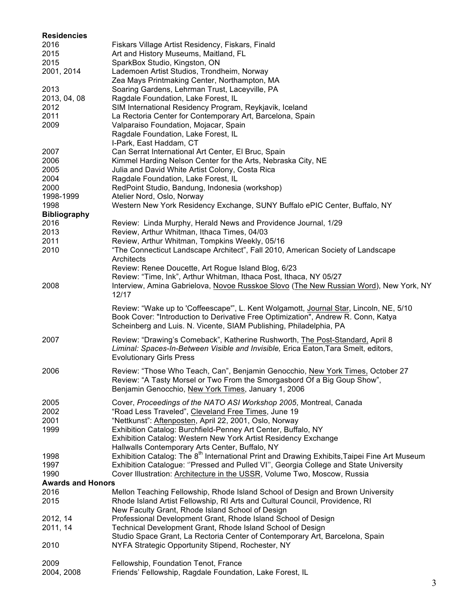| <b>Residencies</b>       |                                                                                                                                                                                                                                                  |
|--------------------------|--------------------------------------------------------------------------------------------------------------------------------------------------------------------------------------------------------------------------------------------------|
| 2016                     | Fiskars Village Artist Residency, Fiskars, Finald                                                                                                                                                                                                |
| 2015                     | Art and History Museums, Maitland, FL                                                                                                                                                                                                            |
| 2015                     | SparkBox Studio, Kingston, ON                                                                                                                                                                                                                    |
| 2001, 2014               | Lademoen Artist Studios, Trondheim, Norway<br>Zea Mays Printmaking Center, Northampton, MA                                                                                                                                                       |
| 2013                     | Soaring Gardens, Lehrman Trust, Laceyville, PA                                                                                                                                                                                                   |
| 2013, 04, 08             | Ragdale Foundation, Lake Forest, IL                                                                                                                                                                                                              |
| 2012                     | SIM International Residency Program, Reykjavik, Iceland                                                                                                                                                                                          |
| 2011                     | La Rectoria Center for Contemporary Art, Barcelona, Spain                                                                                                                                                                                        |
| 2009                     | Valparaiso Foundation, Mojacar, Spain                                                                                                                                                                                                            |
|                          | Ragdale Foundation, Lake Forest, IL                                                                                                                                                                                                              |
|                          | I-Park, East Haddam, CT                                                                                                                                                                                                                          |
| 2007                     | Can Serrat International Art Center, El Bruc, Spain                                                                                                                                                                                              |
| 2006                     | Kimmel Harding Nelson Center for the Arts, Nebraska City, NE                                                                                                                                                                                     |
| 2005                     | Julia and David White Artist Colony, Costa Rica                                                                                                                                                                                                  |
| 2004                     | Ragdale Foundation, Lake Forest, IL                                                                                                                                                                                                              |
| 2000                     | RedPoint Studio, Bandung, Indonesia (workshop)                                                                                                                                                                                                   |
| 1998-1999                | Atelier Nord, Oslo, Norway                                                                                                                                                                                                                       |
| 1998                     | Western New York Residency Exchange, SUNY Buffalo ePIC Center, Buffalo, NY                                                                                                                                                                       |
| <b>Bibliography</b>      |                                                                                                                                                                                                                                                  |
| 2016                     | Review: Linda Murphy, Herald News and Providence Journal, 1/29                                                                                                                                                                                   |
| 2013                     | Review, Arthur Whitman, Ithaca Times, 04/03                                                                                                                                                                                                      |
| 2011                     | Review, Arthur Whitman, Tompkins Weekly, 05/16                                                                                                                                                                                                   |
| 2010                     | "The Connecticut Landscape Architect", Fall 2010, American Society of Landscape                                                                                                                                                                  |
|                          | Architects                                                                                                                                                                                                                                       |
|                          | Review: Renee Doucette, Art Rogue Island Blog, 6/23                                                                                                                                                                                              |
|                          | Review: "Time, Ink", Arthur Whitman, Ithaca Post, Ithaca, NY 05/27                                                                                                                                                                               |
| 2008                     | Interview, Amina Gabrielova, Novoe Russkoe Slovo (The New Russian Word), New York, NY                                                                                                                                                            |
|                          | 12/17                                                                                                                                                                                                                                            |
|                          | Review: "Wake up to 'Coffeescape", L. Kent Wolgamott, Journal Star, Lincoln, NE, 5/10<br>Book Cover: "Introduction to Derivative Free Optimization", Andrew R. Conn, Katya<br>Scheinberg and Luis. N. Vicente, SIAM Publishing, Philadelphia, PA |
|                          |                                                                                                                                                                                                                                                  |
| 2007                     | Review: "Drawing's Comeback", Katherine Rushworth, The Post-Standard, April 8<br>Liminal: Spaces-In-Between Visible and Invisible, Erica Eaton, Tara Smelt, editors,<br><b>Evolutionary Girls Press</b>                                          |
| 2006                     | Review: "Those Who Teach, Can", Benjamin Genocchio, New York Times, October 27                                                                                                                                                                   |
|                          | Review: "A Tasty Morsel or Two From the Smorgasbord Of a Big Goup Show",                                                                                                                                                                         |
|                          | Benjamin Genocchio, New York Times, January 1, 2006                                                                                                                                                                                              |
|                          |                                                                                                                                                                                                                                                  |
| 2005                     | Cover, Proceedings of the NATO ASI Workshop 2005, Montreal, Canada                                                                                                                                                                               |
| 2002<br>2001             | "Road Less Traveled", Cleveland Free Times, June 19<br>"Nettkunst": Aftenposten, April 22, 2001, Oslo, Norway                                                                                                                                    |
| 1999                     | Exhibition Catalog: Burchfield-Penney Art Center, Buffalo, NY                                                                                                                                                                                    |
|                          | Exhibition Catalog: Western New York Artist Residency Exchange                                                                                                                                                                                   |
|                          | Hallwalls Contemporary Arts Center, Buffalo, NY                                                                                                                                                                                                  |
| 1998                     | Exhibition Catalog: The 8 <sup>th</sup> International Print and Drawing Exhibits, Taipei Fine Art Museum                                                                                                                                         |
| 1997                     | Exhibition Catalogue: "Pressed and Pulled VI", Georgia College and State University                                                                                                                                                              |
| 1990                     | Cover Illustration: Architecture in the USSR, Volume Two, Moscow, Russia                                                                                                                                                                         |
| <b>Awards and Honors</b> |                                                                                                                                                                                                                                                  |
| 2016                     | Mellon Teaching Fellowship, Rhode Island School of Design and Brown University                                                                                                                                                                   |
| 2015                     | Rhode Island Artist Fellowship, RI Arts and Cultural Council, Providence, RI                                                                                                                                                                     |
|                          | New Faculty Grant, Rhode Island School of Design                                                                                                                                                                                                 |
| 2012, 14                 | Professional Development Grant, Rhode Island School of Design                                                                                                                                                                                    |
| 2011, 14                 | Technical Development Grant, Rhode Island School of Design                                                                                                                                                                                       |
|                          | Studio Space Grant, La Rectoria Center of Contemporary Art, Barcelona, Spain                                                                                                                                                                     |
| 2010                     | NYFA Strategic Opportunity Stipend, Rochester, NY                                                                                                                                                                                                |
|                          |                                                                                                                                                                                                                                                  |
| 2009                     | Fellowship, Foundation Tenot, France                                                                                                                                                                                                             |
| 2004, 2008               | Friends' Fellowship, Ragdale Foundation, Lake Forest, IL                                                                                                                                                                                         |